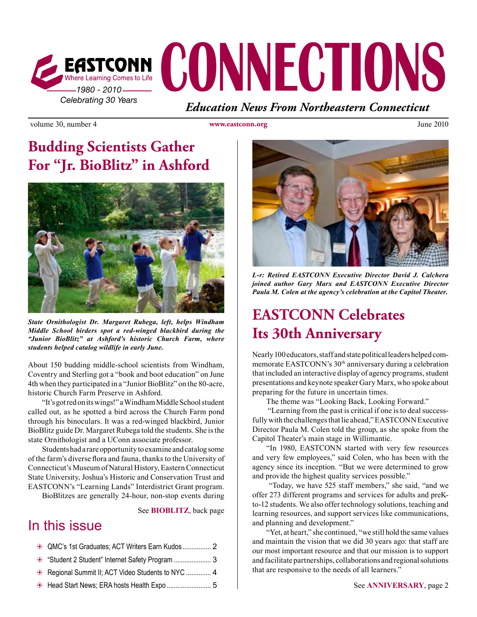

volume 30, number 4 **www.eastconn.org www.eastconn.org** June 2010

# **Budding Scientists Gather For "Jr. BioBlitz" in Ashford**



*State Ornithologist Dr. Margaret Rubega, left, helps Windham Middle School birders spot a red-winged blackbird during the "Junior BioBlitz" at Ashford's historic Church Farm, where students helped catalog wildlife in early June.*

About 150 budding middle-school scientists from Windham, Coventry and Sterling got a "book and boot education" on June 4th when they participated in a "Junior BioBlitz" on the 80-acre, historic Church Farm Preserve in Ashford.

"It's got red on its wings!" a Windham Middle School student called out, as he spotted a bird across the Church Farm pond through his binoculars. It was a red-winged blackbird, Junior BioBlitz guide Dr. Margaret Rubega told the students. She is the state Ornithologist and a UConn associate professor.

Students had a rare opportunity to examine and catalog some of the farm's diverse fora and fauna, thanks to the University of Connecticut's Museum of Natural History, Eastern Connecticut State University, Joshua's Historic and Conservation Trust and EASTCONN's "Learning Lands" Interdistrict Grant program. BioBlitzes are generally 24-hour, non-stop events during

See **BIOBLITZ**, back page

### In this issue

| Student 2 Student" Internet Safety Program  3    |  |
|--------------------------------------------------|--|
| Regional Summit II; ACT Video Students to NYC  4 |  |
|                                                  |  |



*L-r: Retired EASTCONN Executive Director David J. Calchera joined author Gary Marx and EASTCONN Executive Director Paula M. Colen at the agency's celebration at the Capitol Theater.* 

# **EASTCONN Celebrates Its 30th Anniversary**

Nearly 100 educators, staff and state political leaders helped commemorate EASTCONN's 30th anniversary during a celebration that included an interactive display of agency programs, student presentations and keynote speaker Gary Marx, who spoke about preparing for the future in uncertain times.

The theme was "Looking Back, Looking Forward."

 "Learning from the past is critical if one is to deal successfully with the challenges that lie ahead," EASTCONN Executive Director Paula M. Colen told the group, as she spoke from the Capitol Theater's main stage in Willimantic.

"In 1980, EASTCONN started with very few resources and very few employees," said Colen, who has been with the agency since its inception. "But we were determined to grow and provide the highest quality services possible."

 "Today, we have 525 staff members," she said, "and we offer 273 different programs and services for adults and preKto-12 students. We also offer technology solutions, teaching and learning resources, and support services like communications, and planning and development."

"Yet, at heart," she continued, "we still hold the same values and maintain the vision that we did 30 years ago: that staff are our most important resource and that our mission is to support and facilitate partnerships, collaborations and regional solutions that are responsive to the needs of all learners."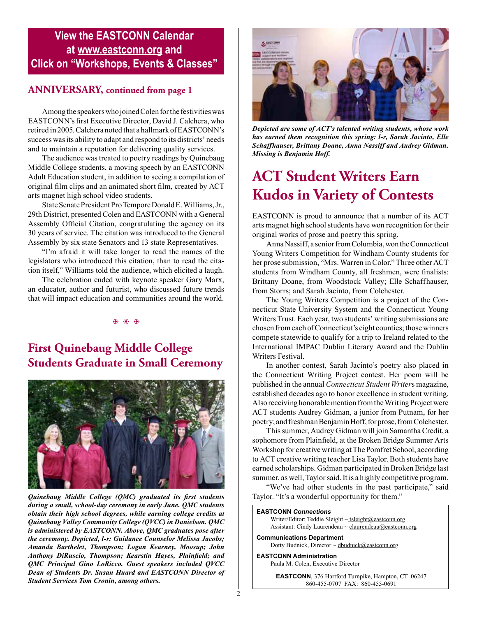#### **View the EASTCONN Calendar at www.eastconn.org and Click on "Workshops, Events & Classes"**

#### **ANNIVERSARY, continued from page 1**

Among the speakers who joined Colen for the festivities was EASTCONN's frst Executive Director, David J. Calchera, who retired in 2005. Calchera noted that a hallmark of EASTCONN's success was its ability to adapt and respond to its districts' needs and to maintain a reputation for delivering quality services.

The audience was treated to poetry readings by Quinebaug Middle College students, a moving speech by an EASTCONN Adult Education student, in addition to seeing a compilation of original flm clips and an animated short flm, created by ACT arts magnet high school video students.

State Senate President Pro Tempore Donald E. Williams, Jr., 29th District, presented Colen and EASTCONN with a General Assembly Official Citation, congratulating the agency on its 30 years of service. The citation was introduced to the General Assembly by six state Senators and 13 state Representatives.

"I'm afraid it will take longer to read the names of the legislators who introduced this citation, than to read the citation itself," Williams told the audience, which elicited a laugh.

The celebration ended with keynote speaker Gary Marx, an educator, author and futurist, who discussed future trends that will impact education and communities around the world.

 $\circledast$   $\circledast$   $\circledast$ 

#### **First Quinebaug Middle College Students Graduate in Small Ceremony**



*Quinebaug Middle College (QMC) graduated its frst students during a small, school-day ceremony in early June. QMC students obtain their high school degrees, while earning college credits at Quinebaug Valley Community College (QVCC) in Danielson. QMC is administered by EASTCONN. Above, QMC graduates pose after the ceremony. Depicted, l-r: Guidance Counselor Melissa Jacobs; Amanda Barthelet, Thompson; Logan Kearney, Moosup; John Anthony DiRuscio, Thompson; Kearstin Hayes, Plainfeld; and QMC Principal Gino LoRicco. Guest speakers included QVCC Dean of Students Dr. Susan Huard and EASTCONN Director of Student Services Tom Cronin, among others.* 



*Depicted are some of ACT's talented writing students, whose work has earned them recognition this spring: l-r, Sarah Jacinto, Elle Schaffhauser, Brittany Doane, Anna Nassiff and Audrey Gidman. Missing is Benjamin Hoff.* 

# **ACT Student Writers Earn Kudos in Variety of Contests**

EASTCONN is proud to announce that a number of its ACT arts magnet high school students have won recognition for their original works of prose and poetry this spring.

Anna Nassiff, a senior from Columbia, won the Connecticut Young Writers Competition for Windham County students for her prose submission, "Mrs. Warren in Color." Three other ACT students from Windham County, all freshmen, were fnalists: Brittany Doane, from Woodstock Valley; Elle Schaffhauser, from Storrs; and Sarah Jacinto, from Colchester.

The Young Writers Competition is a project of the Connecticut State University System and the Connecticut Young Writers Trust. Each year, two students' writing submissions are chosen from each of Connecticut's eight counties; those winners compete statewide to qualify for a trip to Ireland related to the International IMPAC Dublin Literary Award and the Dublin Writers Festival.

In another contest, Sarah Jacinto's poetry also placed in the Connecticut Writing Project contest. Her poem will be published in the annual *Connecticut Student Writer*s magazine, established decades ago to honor excellence in student writing. Also receiving honorable mention from the Writing Project were ACT students Audrey Gidman, a junior from Putnam, for her poetry; and freshman Benjamin Hoff, for prose, from Colchester.

This summer, Audrey Gidman will join Samantha Credit, a sophomore from Plainfeld, at the Broken Bridge Summer Arts Workshop for creative writing at The Pomfret School, according to ACT creative writing teacher Lisa Taylor. Both students have earned scholarships. Gidman participated in Broken Bridge last summer, as well, Taylor said. It is a highly competitive program.

"We've had other students in the past participate," said Taylor. "It's a wonderful opportunity for them."

#### **EASTCONN** *Connections*

Writer/Editor: Teddie Sleight ~ tsleigh[t@eastconn.org](mailto:tsleight@eastconn.org) Assistant: Cindy Laurendeau ~ [claurendeau@eastconn.org](mailto:claurendeau@eastconn.org)

**[Communications Department](%20mailto:connections@eastconn.org)** [Dotty Budnick,](mailto:dbudnick@eastconn.org) Director ~ dbudnick@eastconn.org

**EASTCONN Administration**

Paula M. Colen, Executive Director

**EASTCONN**, 376 Hartford Turnpike, Hampton, CT 06247 860-455-0707 FAX: 860-455-0691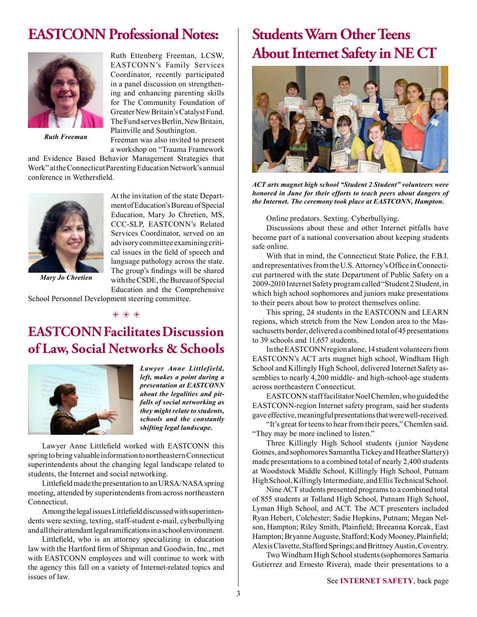## **EASTCONN Professional Notes:**



*Ruth Freeman*

Ruth Ettenberg Freeman, LCSW, EASTCONN's Family Services Coordinator, recently participated in a panel discussion on strengthening and enhancing parenting skills for The Community Foundation of Greater New Britain's Catalyst Fund. The Fund serves Berlin, New Britain, Plainville and Southington.

Freeman was also invited to present a workshop on "Trauma Framework

At the invitation of the state Department of Education's Bureau of Special

and Evidence Based Behavior Management Strategies that Work" at the Connecticut Parenting Education Network's annual conference in Wethersfeld.



Education, Mary Jo Chretien, MS, CCC-SLP, EASTCONN's Related Services Coordinator, served on an advisory committee examining critical issues in the feld of speech and language pathology across the state. The group's fndings will be shared with the CSDE, the Bureau of Special Education and the Comprehensive

School Personnel Development steering committee.

b b b

## **EASTCONN Facilitates Discussion of Law, Social Networks & Schools**



*Lawyer Anne Littlefield, left, makes a point during a presentation at EASTCONN about the legalities and pitfalls of social networking as they might relate to students, schools and the constantly shifting legal landscape.*

Lawyer Anne Littlefeld worked with EASTCONN this spring to bring valuable information to northeastern Connecticut superintendents about the changing legal landscape related to students, the Internet and social networking.

Littlefeld made the presentation to an URSA/NASA spring meeting, attended by superintendents from across northeastern Connecticut.

Among the legal issues Littlefeld discussed with superintendents were sexting, texting, staff-student e-mail, cyberbullying and all their attendant legal ramifcations in a school environment.

Littlefeld, who is an attorney specializing in education law with the Hartford frm of Shipman and Goodwin, Inc., met with EASTCONN employees and will continue to work with the agency this fall on a variety of Internet-related topics and issues of law.

# **Students Warn Other Teens About Internet Safety in NE CT**



*ACT arts magnet high school "Student 2 Student" volunteers were honored in June for their efforts to teach peers about dangers of the Internet. The ceremony took place at EASTCONN, Hampton.* 

Online predators. Sexting. Cyberbullying.

Discussions about these and other Internet pitfalls have become part of a national conversation about keeping students safe online.

With that in mind, the Connecticut State Police, the F.B.I. and representatives from the U.S. Attorney's Office in Connecticut partnered with the state Department of Public Safety on a 2009-2010 Internet Safety program called "Student 2 Student, in which high school sophomores and juniors make presentations to their peers about how to protect themselves online.

This spring, 24 students in the EASTCONN and LEARN regions, which stretch from the New London area to the Massachusetts border, delivered a combined total of 45 presentations to 39 schools and 11,657 students.

In the EASTCONN region alone, 14 student volunteers from EASTCONN's ACT arts magnet high school, Windham High School and Killingly High School, delivered Internet Safety assemblies to nearly 4,200 middle- and high-school-age students across northeastern Connecticut.

EASTCONN staff facilitator Noel Chemlen, who guided the EASTCONN-region Internet safety program, said her students gave effective, meaningful presentations that were well-received.

"It's great for teens to hear from their peers," Chemlen said. "They may be more inclined to listen."

Three Killingly High School students (junior Naydene Gomes, and sophomores Samantha Tickey and Heather Slattery) made presentations to a combined total of nearly 2,400 students at Woodstock Middle School, Killingly High School, Putnam High School, Killingly Intermediate, and Ellis Technical School.

Nine ACT students presented programs to a combined total of 855 students at Tolland High School, Putnam High School, Lyman High School, and ACT. The ACT presenters included Ryan Hebert, Colchester; Sadie Hopkins, Putnam; Megan Nelson, Hampton; Riley Smith, Plainfeld; Breeanna Korcak, East Hampton; Bryanne Auguste, Stafford; Kody Mooney, Plainfield; Alexis Clavette, Stafford Springs; and Brittney Austin, Coventry.

Two Windham High School students (sophomores Samaria Gutierrez and Ernesto Rivera), made their presentations to a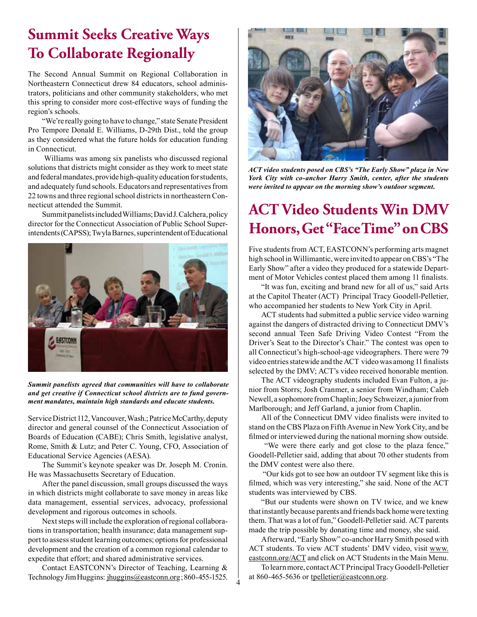## **Summit Seeks Creative Ways To Collaborate Regionally**

The Second Annual Summit on Regional Collaboration in Northeastern Connecticut drew 84 educators, school administrators, politicians and other community stakeholders, who met this spring to consider more cost-effective ways of funding the region's schools.

"We're really going to have to change," state Senate President Pro Tempore Donald E. Williams, D-29th Dist., told the group as they considered what the future holds for education funding in Connecticut.

 Williams was among six panelists who discussed regional solutions that districts might consider as they work to meet state and federal mandates, provide high-quality education for students, and adequately fund schools. Educators and representatives from 22 towns and three regional school districts in northeastern Connecticut attended the Summit.

Summit panelists included Williams; David J. Calchera, policy director for the Connecticut Association of Public School Superintendents (CAPSS); Twyla Barnes, superintendent of Educational



*Summit panelists agreed that communities will have to collaborate and get creative if Connecticut school districts are to fund government mandates, maintain high standards and educate students.* 

Service District 112, Vancouver, Wash.; Patrice McCarthy, deputy director and general counsel of the Connecticut Association of Boards of Education (CABE); Chris Smith, legislative analyst, Rome, Smith & Lutz; and Peter C. Young, CFO, Association of Educational Service Agencies (AESA).

The Summit's keynote speaker was Dr. Joseph M. Cronin. He was Massachusetts Secretary of Education.

After the panel discussion, small groups discussed the ways in which districts might collaborate to save money in areas like data management, essential services, advocacy, professional development and rigorous outcomes in schools.

Next steps will include the exploration of regional collaborations in transportation; health insurance; data management support to assess student learning outcomes; options for professional development and the creation of a common regional calendar to expedite that effort; and shared administrative services.

Contact EASTCONN's Director of Teaching, Learning & Technology Jim Huggins: jhuggins@eastconn.org; 860-455-1525.



*ACT video students posed on CBS's "The Early Show" plaza in New York City with co-anchor Harry Smith, center, after the students were invited to appear on the morning show's outdoor segment.* 

# **ACT Video Students Win DMV Honors, Get "Face Time" on CBS**

Five students from ACT, EASTCONN's performing arts magnet high school in Willimantic, were invited to appear on CBS's "The Early Show" after a video they produced for a statewide Department of Motor Vehicles contest placed them among 11 fnalists.

"It was fun, exciting and brand new for all of us," said Arts at the Capitol Theater (ACT) Principal Tracy Goodell-Pelletier, who accompanied her students to New York City in April.

ACT students had submitted a public service video warning against the dangers of distracted driving to Connecticut DMV's second annual Teen Safe Driving Video Contest "From the Driver's Seat to the Director's Chair." The contest was open to all Connecticut's high-school-age videographers. There were 79 video entries statewide and the ACT video was among 11 fnalists selected by the DMV; ACT's video received honorable mention.

The ACT videography students included Evan Fulton, a junior from Storrs; Josh Cranmer, a senior from Windham; Caleb Newell, a sophomore from Chaplin; Joey Schweizer, a junior from Marlborough; and Jeff Garland, a junior from Chaplin.

All of the Connecticut DMV video fnalists were invited to stand on the CBS Plaza on Fifth Avenue in New York City, and be flmed or interviewed during the national morning show outside.

 "We were there early and got close to the plaza fence," Goodell-Pelletier said, adding that about 70 other students from the DMV contest were also there.

 "Our kids got to see how an outdoor TV segment like this is flmed, which was very interesting," she said. None of the ACT students was interviewed by CBS.

"But our students were shown on TV twice, and we knew that instantly because parents and friends back home were texting them. That was a lot of fun," Goodell-Pelletier said. ACT parents made the trip possible by donating time and money, she said.

Afterward, "Early Show" co-anchor Harry Smith posed with ACT students. To view ACT students' DMV video, visit www. eastconn.org/ACT and click on ACT Students in the Main Menu.

To learn more, contact ACT Principal Tracy Goodell-Pelletier at 860-465-5636 or tpelletier@eastconn.org.

4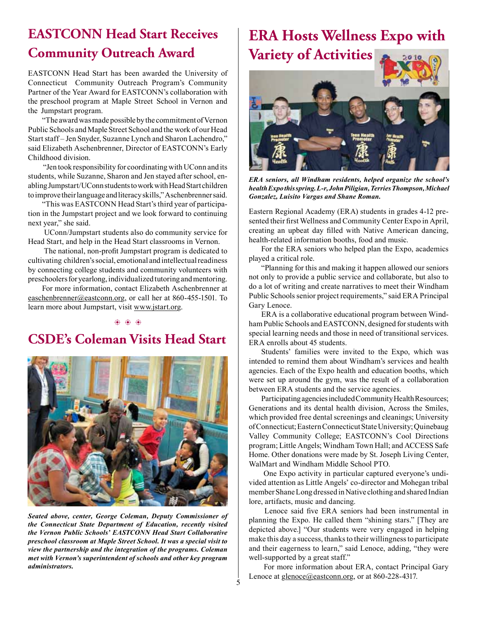## **EASTCONN Head Start Receives Community Outreach Award**

EASTCONN Head Start has been awarded the University of Connecticut Community Outreach Program's Community Partner of the Year Award for EASTCONN's collaboration with the preschool program at Maple Street School in Vernon and the Jumpstart program.

"The award was made possible by the commitment of Vernon Public Schools and Maple Street School and the work of our Head Start staff – Jen Snyder, Suzanne Lynch and Sharon Lachendro," said Elizabeth Aschenbrenner, Director of EASTCONN's Early Childhood division.

 "Jen took responsibility for coordinating with UConn and its students, while Suzanne, Sharon and Jen stayed after school, enabling Jumpstart/UConn students to work with Head Start children to improve their language and literacy skills," Aschenbrenner said.

"This was EASTCONN Head Start's third year of participation in the Jumpstart project and we look forward to continuing next year," she said.

 UConn/Jumpstart students also do community service for Head Start, and help in the Head Start classrooms in Vernon.

 The national, non-proft Jumpstart program is dedicated to cultivating children's social, emotional and intellectual readiness by connecting college students and community volunteers with preschoolers for yearlong, individualized tutoring and mentoring.

For more information, contact Elizabeth Aschenbrenner at [easchenbrenner@eastconn.org](mailto:easchenbrenner@eastconn.org), or call her at 860-455-1501. To learn more about Jumpstart, visit [www.jstart.org](http://www.jstart.org).

#### $\phi_1$   $\phi_2$   $\phi_3$

## **CSDE's Coleman Visits Head Start**



*Seated above, center, George Coleman, Deputy Commissioner of the Connecticut State Department of Education, recently visited the Vernon Public Schools' EASTCONN Head Start Collaborative preschool classroom at Maple Street School. It was a special visit to view the partnership and the integration of the programs. Coleman met with Vernon's superintendent of schools and other key program administrators.* 

# **ERA Hosts Wellness Expo with Variety of Activities**



*ERA seniors, all Windham residents, helped organize the school's health Expo this spring. L-r, John Piligian, Terries Thompson, Michael Gonzalez, Luisito Vargas and Shane Roman.* 

Eastern Regional Academy (ERA) students in grades 4-12 presented their frst Wellness and Community Center Expo in April, creating an upbeat day flled with Native American dancing, health-related information booths, food and music.

For the ERA seniors who helped plan the Expo, academics played a critical role.

"Planning for this and making it happen allowed our seniors not only to provide a public service and collaborate, but also to do a lot of writing and create narratives to meet their Windham Public Schools senior project requirements," said ERA Principal Gary Lenoce.

ERA is a collaborative educational program between Windham Public Schools and EASTCONN, designed for students with special learning needs and those in need of transitional services. ERA enrolls about 45 students.

Students' families were invited to the Expo, which was intended to remind them about Windham's services and health agencies. Each of the Expo health and education booths, which were set up around the gym, was the result of a collaboration between ERA students and the service agencies.

Participating agencies included Community Health Resources; Generations and its dental health division, Across the Smiles, which provided free dental screenings and cleanings; University of Connecticut; Eastern Connecticut State University; Quinebaug Valley Community College; EASTCONN's Cool Directions program; Little Angels; Windham Town Hall; and ACCESS Safe Home. Other donations were made by St. Joseph Living Center, WalMart and Windham Middle School PTO.

 One Expo activity in particular captured everyone's undivided attention as Little Angels' co-director and Mohegan tribal member Shane Long dressed in Native clothing and shared Indian lore, artifacts, music and dancing.

 Lenoce said fve ERA seniors had been instrumental in planning the Expo. He called them "shining stars." [They are depicted above.] "Our students were very engaged in helping make this day a success, thanks to their willingness to participate and their eagerness to learn," said Lenoce, adding, "they were well-supported by a great staff."

 For more information about ERA, contact Principal Gary Lenoce at <u>glenoce@eastconn.org</u>, or at 860-228-4317.

5